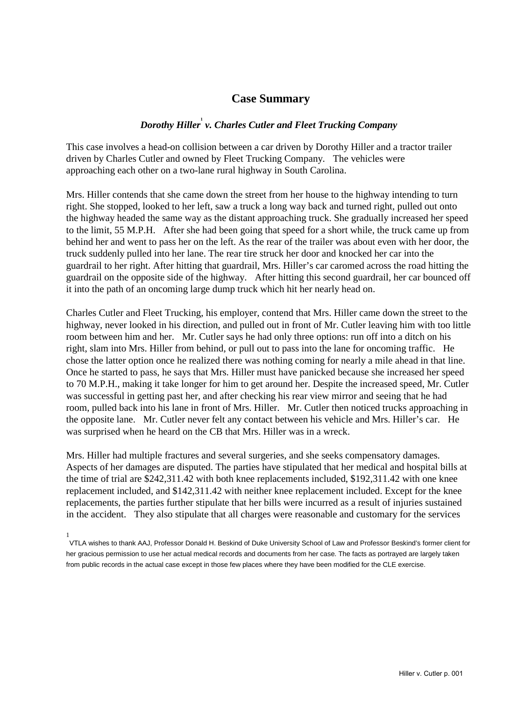## **Case Summary**

## *Dorothy Hiller***<sup>1</sup>**  *v. Charles Cutler and Fleet Trucking Company*

This case involves a head-on collision between a car driven by Dorothy Hiller and a tractor trailer driven by Charles Cutler and owned by Fleet Trucking Company. The vehicles were approaching each other on a two-lane rural highway in South Carolina.

Mrs. Hiller contends that she came down the street from her house to the highway intending to turn right. She stopped, looked to her left, saw a truck a long way back and turned right, pulled out onto the highway headed the same way as the distant approaching truck. She gradually increased her speed to the limit, 55 M.P.H. After she had been going that speed for a short while, the truck came up from behind her and went to pass her on the left. As the rear of the trailer was about even with her door, the truck suddenly pulled into her lane. The rear tire struck her door and knocked her car into the guardrail to her right. After hitting that guardrail, Mrs. Hiller's car caromed across the road hitting the guardrail on the opposite side of the highway. After hitting this second guardrail, her car bounced off it into the path of an oncoming large dump truck which hit her nearly head on.

Charles Cutler and Fleet Trucking, his employer, contend that Mrs. Hiller came down the street to the highway, never looked in his direction, and pulled out in front of Mr. Cutler leaving him with too little room between him and her. Mr. Cutler says he had only three options: run off into a ditch on his right, slam into Mrs. Hiller from behind, or pull out to pass into the lane for oncoming traffic. He chose the latter option once he realized there was nothing coming for nearly a mile ahead in that line. Once he started to pass, he says that Mrs. Hiller must have panicked because she increased her speed to 70 M.P.H., making it take longer for him to get around her. Despite the increased speed, Mr. Cutler was successful in getting past her, and after checking his rear view mirror and seeing that he had room, pulled back into his lane in front of Mrs. Hiller. Mr. Cutler then noticed trucks approaching in the opposite lane. Mr. Cutler never felt any contact between his vehicle and Mrs. Hiller's car. He was surprised when he heard on the CB that Mrs. Hiller was in a wreck.

Mrs. Hiller had multiple fractures and several surgeries, and she seeks compensatory damages. Aspects of her damages are disputed. The parties have stipulated that her medical and hospital bills at the time of trial are \$242,311.42 with both knee replacements included, \$192,311.42 with one knee replacement included, and \$142,311.42 with neither knee replacement included. Except for the knee replacements, the parties further stipulate that her bills were incurred as a result of injuries sustained in the accident. They also stipulate that all charges were reasonable and customary for the services

<sup>1</sup> VTLA wishes to thank AAJ, Professor Donald H. Beskind of Duke University School of Law and Professor Beskind's former client for her gracious permission to use her actual medical records and documents from her case. The facts as portrayed are largely taken from public records in the actual case except in those few places where they have been modified for the CLE exercise.